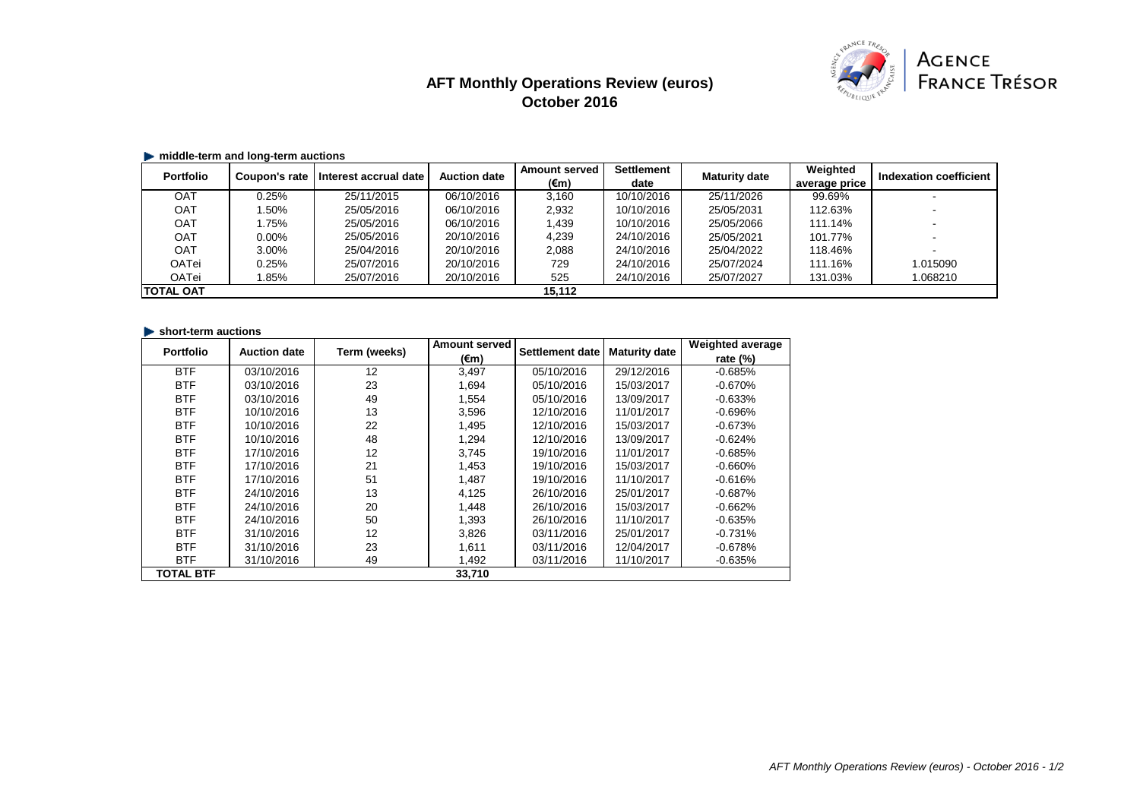# **AFT Monthly Operations Review (euros) October 2016**



### **middle-term and long-term auctions**

| <b>Portfolio</b> | Coupon's rate | Interest accrual date | <b>Auction date</b> | <b>Amount served</b> | <b>Settlement</b> | <b>Maturity date</b> | Weighted      | Indexation coefficient |
|------------------|---------------|-----------------------|---------------------|----------------------|-------------------|----------------------|---------------|------------------------|
|                  |               |                       |                     | (€m)                 | date              |                      | average price |                        |
| OAT              | 0.25%         | 25/11/2015            | 06/10/2016          | 3,160                | 10/10/2016        | 25/11/2026           | 99.69%        |                        |
| <b>OAT</b>       | .50%          | 25/05/2016            | 06/10/2016          | 2,932                | 10/10/2016        | 25/05/2031           | 112.63%       |                        |
| <b>OAT</b>       | .75%          | 25/05/2016            | 06/10/2016          | 1,439                | 10/10/2016        | 25/05/2066           | 111.14%       |                        |
| <b>OAT</b>       | $0.00\%$      | 25/05/2016            | 20/10/2016          | 4,239                | 24/10/2016        | 25/05/2021           | 101.77%       |                        |
| <b>OAT</b>       | $3.00\%$      | 25/04/2016            | 20/10/2016          | 2,088                | 24/10/2016        | 25/04/2022           | 118.46%       |                        |
| <b>OATei</b>     | 0.25%         | 25/07/2016            | 20/10/2016          | 729                  | 24/10/2016        | 25/07/2024           | 111.16%       | 1.015090               |
| <b>OATei</b>     | .85%          | 25/07/2016            | 20/10/2016          | 525                  | 24/10/2016        | 25/07/2027           | 131.03%       | 1.068210               |
| <b>TOTAL OAT</b> |               |                       |                     | 15,112               |                   |                      |               |                        |

#### **short-term auctions**

| <b>Portfolio</b> | <b>Auction date</b> | Term (weeks) | <b>Amount served</b> | <b>Settlement date</b> | <b>Maturity date</b> | <b>Weighted average</b> |
|------------------|---------------------|--------------|----------------------|------------------------|----------------------|-------------------------|
|                  |                     |              | $(\epsilon m)$       |                        |                      | rate $(\%)$             |
| <b>BTF</b>       | 03/10/2016          | 12           | 3,497                | 05/10/2016             | 29/12/2016           | $-0.685%$               |
| <b>BTF</b>       | 03/10/2016          | 23           | 1,694                | 05/10/2016             | 15/03/2017           | $-0.670%$               |
| <b>BTF</b>       | 03/10/2016          | 49           | 1,554                | 05/10/2016             | 13/09/2017           | $-0.633%$               |
| <b>BTF</b>       | 10/10/2016          | 13           | 3,596                | 12/10/2016             | 11/01/2017           | $-0.696\%$              |
| <b>BTF</b>       | 10/10/2016          | 22           | 1,495                | 12/10/2016             | 15/03/2017           | $-0.673%$               |
| <b>BTF</b>       | 10/10/2016          | 48           | 1,294                | 12/10/2016             | 13/09/2017           | $-0.624%$               |
| <b>BTF</b>       | 17/10/2016          | 12           | 3,745                | 19/10/2016             | 11/01/2017           | $-0.685%$               |
| <b>BTF</b>       | 17/10/2016          | 21           | 1,453                | 19/10/2016             | 15/03/2017           | $-0.660%$               |
| <b>BTF</b>       | 17/10/2016          | 51           | 1,487                | 19/10/2016             | 11/10/2017           | $-0.616%$               |
| <b>BTF</b>       | 24/10/2016          | 13           | 4,125                | 26/10/2016             | 25/01/2017           | $-0.687%$               |
| <b>BTF</b>       | 24/10/2016          | 20           | 1,448                | 26/10/2016             | 15/03/2017           | $-0.662%$               |
| <b>BTF</b>       | 24/10/2016          | 50           | 1,393                | 26/10/2016             | 11/10/2017           | $-0.635%$               |
| <b>BTF</b>       | 31/10/2016          | 12           | 3,826                | 03/11/2016             | 25/01/2017           | $-0.731%$               |
| <b>BTF</b>       | 31/10/2016          | 23           | 1,611                | 03/11/2016             | 12/04/2017           | $-0.678%$               |
| <b>BTF</b>       | 31/10/2016          | 49           | 1,492                | 03/11/2016             | 11/10/2017           | $-0.635%$               |
| <b>TOTAL BTF</b> |                     |              | 33,710               |                        |                      |                         |